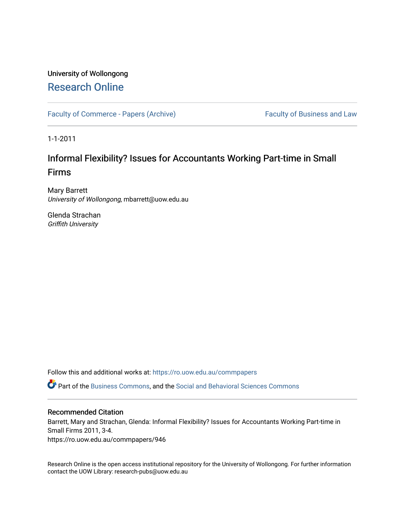# University of Wollongong [Research Online](https://ro.uow.edu.au/)

[Faculty of Commerce - Papers \(Archive\)](https://ro.uow.edu.au/commpapers) Faculty of Business and Law

1-1-2011

# Informal Flexibility? Issues for Accountants Working Part-time in Small Firms

Mary Barrett University of Wollongong, mbarrett@uow.edu.au

Glenda Strachan Griffith University

Follow this and additional works at: [https://ro.uow.edu.au/commpapers](https://ro.uow.edu.au/commpapers?utm_source=ro.uow.edu.au%2Fcommpapers%2F946&utm_medium=PDF&utm_campaign=PDFCoverPages) 

Part of the [Business Commons](http://network.bepress.com/hgg/discipline/622?utm_source=ro.uow.edu.au%2Fcommpapers%2F946&utm_medium=PDF&utm_campaign=PDFCoverPages), and the [Social and Behavioral Sciences Commons](http://network.bepress.com/hgg/discipline/316?utm_source=ro.uow.edu.au%2Fcommpapers%2F946&utm_medium=PDF&utm_campaign=PDFCoverPages) 

#### Recommended Citation

Barrett, Mary and Strachan, Glenda: Informal Flexibility? Issues for Accountants Working Part-time in Small Firms 2011, 3-4.

https://ro.uow.edu.au/commpapers/946

Research Online is the open access institutional repository for the University of Wollongong. For further information contact the UOW Library: research-pubs@uow.edu.au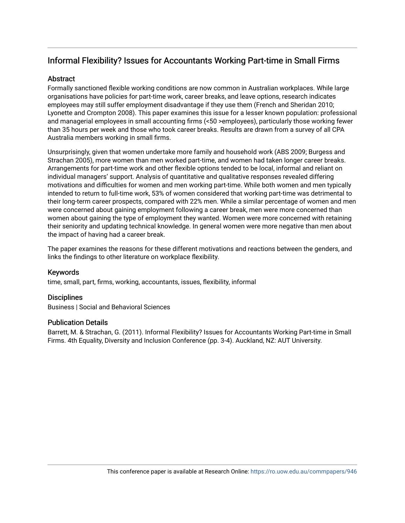## Informal Flexibility? Issues for Accountants Working Part-time in Small Firms

## **Abstract**

Formally sanctioned flexible working conditions are now common in Australian workplaces. While large organisations have policies for part-time work, career breaks, and leave options, research indicates employees may still suffer employment disadvantage if they use them (French and Sheridan 2010; Lyonette and Crompton 2008). This paper examines this issue for a lesser known population: professional and managerial employees in small accounting firms (<50 >employees), particularly those working fewer than 35 hours per week and those who took career breaks. Results are drawn from a survey of all CPA Australia members working in small firms.

Unsurprisingly, given that women undertake more family and household work (ABS 2009; Burgess and Strachan 2005), more women than men worked part-time, and women had taken longer career breaks. Arrangements for part-time work and other flexible options tended to be local, informal and reliant on individual managers' support. Analysis of quantitative and qualitative responses revealed differing motivations and difficulties for women and men working part-time. While both women and men typically intended to return to full-time work, 53% of women considered that working part-time was detrimental to their long-term career prospects, compared with 22% men. While a similar percentage of women and men were concerned about gaining employment following a career break, men were more concerned than women about gaining the type of employment they wanted. Women were more concerned with retaining their seniority and updating technical knowledge. In general women were more negative than men about the impact of having had a career break.

The paper examines the reasons for these different motivations and reactions between the genders, and links the findings to other literature on workplace flexibility.

## Keywords

time, small, part, firms, working, accountants, issues, flexibility, informal

## **Disciplines**

Business | Social and Behavioral Sciences

#### Publication Details

Barrett, M. & Strachan, G. (2011). Informal Flexibility? Issues for Accountants Working Part-time in Small Firms. 4th Equality, Diversity and Inclusion Conference (pp. 3-4). Auckland, NZ: AUT University.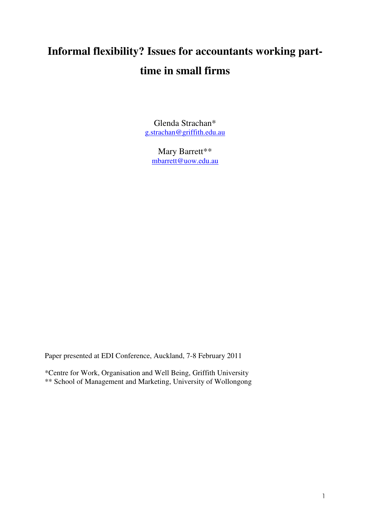# **Informal flexibility? Issues for accountants working parttime in small firms**

Glenda Strachan\* g.strachan@griffith.edu.au

Mary Barrett\*\* mbarrett@uow.edu.au

Paper presented at EDI Conference, Auckland, 7-8 February 2011

\*Centre for Work, Organisation and Well Being, Griffith University \*\* School of Management and Marketing, University of Wollongong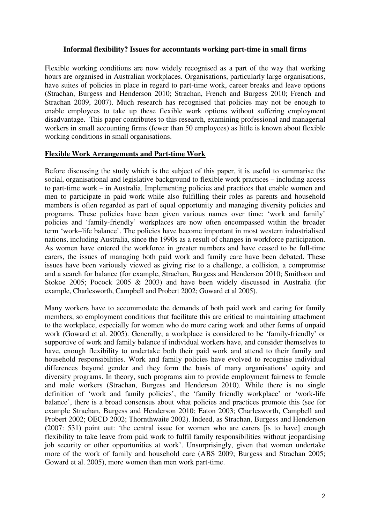#### **Informal flexibility? Issues for accountants working part-time in small firms**

Flexible working conditions are now widely recognised as a part of the way that working hours are organised in Australian workplaces. Organisations, particularly large organisations, have suites of policies in place in regard to part-time work, career breaks and leave options (Strachan, Burgess and Henderson 2010; Strachan, French and Burgess 2010; French and Strachan 2009, 2007). Much research has recognised that policies may not be enough to enable employees to take up these flexible work options without suffering employment disadvantage. This paper contributes to this research, examining professional and managerial workers in small accounting firms (fewer than 50 employees) as little is known about flexible working conditions in small organisations.

## **Flexible Work Arrangements and Part-time Work**

Before discussing the study which is the subject of this paper, it is useful to summarise the social, organisational and legislative background to flexible work practices – including access to part-time work – in Australia. Implementing policies and practices that enable women and men to participate in paid work while also fulfilling their roles as parents and household members is often regarded as part of equal opportunity and managing diversity policies and programs. These policies have been given various names over time: 'work and family' policies and 'family-friendly' workplaces are now often encompassed within the broader term 'work–life balance'. The policies have become important in most western industrialised nations, including Australia, since the 1990s as a result of changes in workforce participation. As women have entered the workforce in greater numbers and have ceased to be full-time carers, the issues of managing both paid work and family care have been debated. These issues have been variously viewed as giving rise to a challenge, a collision, a compromise and a search for balance (for example, Strachan, Burgess and Henderson 2010; Smithson and Stokoe 2005; Pocock 2005 & 2003) and have been widely discussed in Australia (for example, Charlesworth, Campbell and Probert 2002; Goward et al 2005).

Many workers have to accommodate the demands of both paid work and caring for family members, so employment conditions that facilitate this are critical to maintaining attachment to the workplace, especially for women who do more caring work and other forms of unpaid work (Goward et al. 2005). Generally, a workplace is considered to be 'family-friendly' or supportive of work and family balance if individual workers have, and consider themselves to have, enough flexibility to undertake both their paid work and attend to their family and household responsibilities. Work and family policies have evolved to recognise individual differences beyond gender and they form the basis of many organisations' equity and diversity programs. In theory, such programs aim to provide employment fairness to female and male workers (Strachan, Burgess and Henderson 2010). While there is no single definition of 'work and family policies', the 'family friendly workplace' or 'work-life balance', there is a broad consensus about what policies and practices promote this (see for example Strachan, Burgess and Henderson 2010; Eaton 2003; Charlesworth, Campbell and Probert 2002; OECD 2002; Thornthwaite 2002). Indeed, as Strachan, Burgess and Henderson (2007: 531) point out: 'the central issue for women who are carers [is to have] enough flexibility to take leave from paid work to fulfil family responsibilities without jeopardising job security or other opportunities at work'. Unsurprisingly, given that women undertake more of the work of family and household care (ABS 2009; Burgess and Strachan 2005; Goward et al. 2005), more women than men work part-time.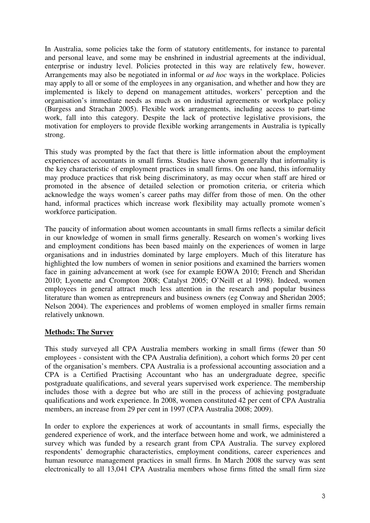In Australia, some policies take the form of statutory entitlements, for instance to parental and personal leave, and some may be enshrined in industrial agreements at the individual, enterprise or industry level. Policies protected in this way are relatively few, however. Arrangements may also be negotiated in informal or *ad hoc* ways in the workplace. Policies may apply to all or some of the employees in any organisation, and whether and how they are implemented is likely to depend on management attitudes, workers' perception and the organisation's immediate needs as much as on industrial agreements or workplace policy (Burgess and Strachan 2005). Flexible work arrangements, including access to part-time work, fall into this category. Despite the lack of protective legislative provisions, the motivation for employers to provide flexible working arrangements in Australia is typically strong.

This study was prompted by the fact that there is little information about the employment experiences of accountants in small firms. Studies have shown generally that informality is the key characteristic of employment practices in small firms. On one hand, this informality may produce practices that risk being discriminatory, as may occur when staff are hired or promoted in the absence of detailed selection or promotion criteria, or criteria which acknowledge the ways women's career paths may differ from those of men. On the other hand, informal practices which increase work flexibility may actually promote women's workforce participation.

The paucity of information about women accountants in small firms reflects a similar deficit in our knowledge of women in small firms generally. Research on women's working lives and employment conditions has been based mainly on the experiences of women in large organisations and in industries dominated by large employers. Much of this literature has highlighted the low numbers of women in senior positions and examined the barriers women face in gaining advancement at work (see for example EOWA 2010; French and Sheridan 2010; Lyonette and Crompton 2008; Catalyst 2005; O'Neill et al 1998). Indeed, women employees in general attract much less attention in the research and popular business literature than women as entrepreneurs and business owners (eg Conway and Sheridan 2005; Nelson 2004). The experiences and problems of women employed in smaller firms remain relatively unknown.

## **Methods: The Survey**

This study surveyed all CPA Australia members working in small firms (fewer than 50 employees - consistent with the CPA Australia definition), a cohort which forms 20 per cent of the organisation's members. CPA Australia is a professional accounting association and a CPA is a Certified Practising Accountant who has an undergraduate degree, specific postgraduate qualifications, and several years supervised work experience. The membership includes those with a degree but who are still in the process of achieving postgraduate qualifications and work experience. In 2008, women constituted 42 per cent of CPA Australia members, an increase from 29 per cent in 1997 (CPA Australia 2008; 2009).

In order to explore the experiences at work of accountants in small firms, especially the gendered experience of work, and the interface between home and work, we administered a survey which was funded by a research grant from CPA Australia. The survey explored respondents' demographic characteristics, employment conditions, career experiences and human resource management practices in small firms. In March 2008 the survey was sent electronically to all 13,041 CPA Australia members whose firms fitted the small firm size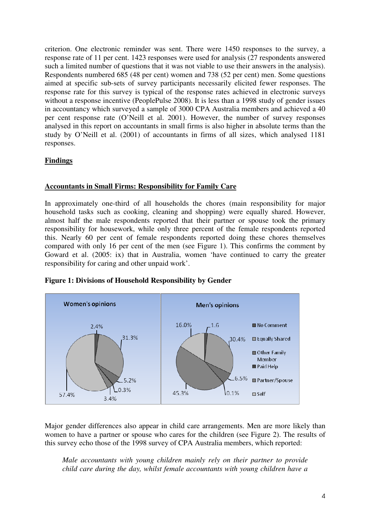criterion. One electronic reminder was sent. There were 1450 responses to the survey, a response rate of 11 per cent. 1423 responses were used for analysis (27 respondents answered such a limited number of questions that it was not viable to use their answers in the analysis). Respondents numbered 685 (48 per cent) women and 738 (52 per cent) men. Some questions aimed at specific sub-sets of survey participants necessarily elicited fewer responses. The response rate for this survey is typical of the response rates achieved in electronic surveys without a response incentive (PeoplePulse 2008). It is less than a 1998 study of gender issues in accountancy which surveyed a sample of 3000 CPA Australia members and achieved a 40 per cent response rate (O'Neill et al. 2001). However, the number of survey responses analysed in this report on accountants in small firms is also higher in absolute terms than the study by O'Neill et al. (2001) of accountants in firms of all sizes, which analysed 1181 responses.

## **Findings**

## **Accountants in Small Firms: Responsibility for Family Care**

In approximately one-third of all households the chores (main responsibility for major household tasks such as cooking, cleaning and shopping) were equally shared. However, almost half the male respondents reported that their partner or spouse took the primary responsibility for housework, while only three percent of the female respondents reported this. Nearly 60 per cent of female respondents reported doing these chores themselves compared with only 16 per cent of the men (see Figure 1). This confirms the comment by Goward et al. (2005: ix) that in Australia, women 'have continued to carry the greater responsibility for caring and other unpaid work'.





Major gender differences also appear in child care arrangements. Men are more likely than women to have a partner or spouse who cares for the children (see Figure 2). The results of this survey echo those of the 1998 survey of CPA Australia members, which reported:

*Male accountants with young children mainly rely on their partner to provide child care during the day, whilst female accountants with young children have a*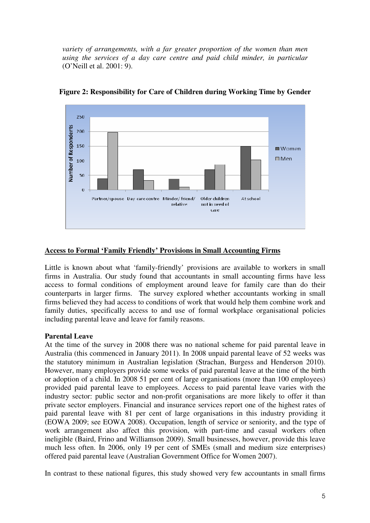*variety of arrangements, with a far greater proportion of the women than men using the services of a day care centre and paid child minder, in particular* (O'Neill et al. 2001: 9).



**Figure 2: Responsibility for Care of Children during Working Time by Gender** 

## **Access to Formal 'Family Friendly' Provisions in Small Accounting Firms**

Little is known about what 'family-friendly' provisions are available to workers in small firms in Australia. Our study found that accountants in small accounting firms have less access to formal conditions of employment around leave for family care than do their counterparts in larger firms. The survey explored whether accountants working in small firms believed they had access to conditions of work that would help them combine work and family duties, specifically access to and use of formal workplace organisational policies including parental leave and leave for family reasons.

## **Parental Leave**

At the time of the survey in 2008 there was no national scheme for paid parental leave in Australia (this commenced in January 2011). In 2008 unpaid parental leave of 52 weeks was the statutory minimum in Australian legislation (Strachan, Burgess and Henderson 2010). However, many employers provide some weeks of paid parental leave at the time of the birth or adoption of a child. In 2008 51 per cent of large organisations (more than 100 employees) provided paid parental leave to employees. Access to paid parental leave varies with the industry sector: public sector and non-profit organisations are more likely to offer it than private sector employers. Financial and insurance services report one of the highest rates of paid parental leave with 81 per cent of large organisations in this industry providing it (EOWA 2009; see EOWA 2008). Occupation, length of service or seniority, and the type of work arrangement also affect this provision, with part-time and casual workers often ineligible (Baird, Frino and Williamson 2009). Small businesses, however, provide this leave much less often. In 2006, only 19 per cent of SMEs (small and medium size enterprises) offered paid parental leave (Australian Government Office for Women 2007).

In contrast to these national figures, this study showed very few accountants in small firms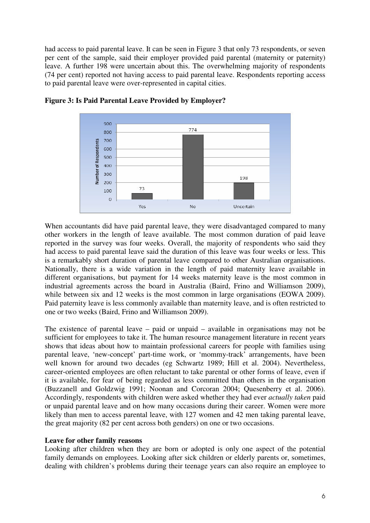had access to paid parental leave. It can be seen in Figure 3 that only 73 respondents, or seven per cent of the sample, said their employer provided paid parental (maternity or paternity) leave. A further 198 were uncertain about this. The overwhelming majority of respondents (74 per cent) reported not having access to paid parental leave. Respondents reporting access to paid parental leave were over-represented in capital cities.



**Figure 3: Is Paid Parental Leave Provided by Employer?** 

When accountants did have paid parental leave, they were disadvantaged compared to many other workers in the length of leave available. The most common duration of paid leave reported in the survey was four weeks. Overall, the majority of respondents who said they had access to paid parental leave said the duration of this leave was four weeks or less. This is a remarkably short duration of parental leave compared to other Australian organisations. Nationally, there is a wide variation in the length of paid maternity leave available in different organisations, but payment for 14 weeks maternity leave is the most common in industrial agreements across the board in Australia (Baird, Frino and Williamson 2009), while between six and 12 weeks is the most common in large organisations (EOWA 2009). Paid paternity leave is less commonly available than maternity leave, and is often restricted to one or two weeks (Baird, Frino and Williamson 2009).

The existence of parental leave – paid or unpaid – available in organisations may not be sufficient for employees to take it. The human resource management literature in recent years shows that ideas about how to maintain professional careers for people with families using parental leave, 'new-concept' part-time work, or 'mommy-track' arrangements, have been well known for around two decades (eg Schwartz 1989; Hill et al. 2004). Nevertheless, career-oriented employees are often reluctant to take parental or other forms of leave, even if it is available, for fear of being regarded as less committed than others in the organisation (Buzzanell and Goldzwig 1991; Noonan and Corcoran 2004; Quesenberry et al. 2006). Accordingly, respondents with children were asked whether they had ever *actually taken* paid or unpaid parental leave and on how many occasions during their career. Women were more likely than men to access parental leave, with 127 women and 42 men taking parental leave, the great majority (82 per cent across both genders) on one or two occasions.

## **Leave for other family reasons**

Looking after children when they are born or adopted is only one aspect of the potential family demands on employees. Looking after sick children or elderly parents or, sometimes, dealing with children's problems during their teenage years can also require an employee to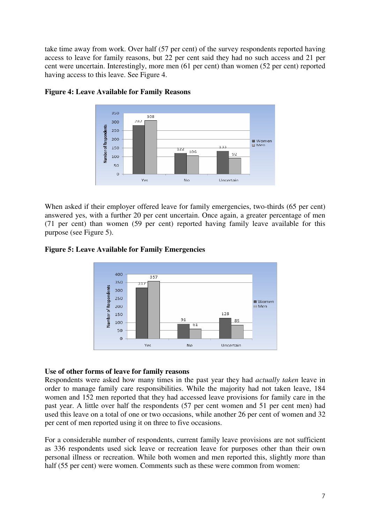take time away from work. Over half (57 per cent) of the survey respondents reported having access to leave for family reasons, but 22 per cent said they had no such access and 21 per cent were uncertain. Interestingly, more men (61 per cent) than women (52 per cent) reported having access to this leave. See Figure 4.



## **Figure 4: Leave Available for Family Reasons**

When asked if their employer offered leave for family emergencies, two-thirds (65 per cent) answered yes, with a further 20 per cent uncertain. Once again, a greater percentage of men (71 per cent) than women (59 per cent) reported having family leave available for this purpose (see Figure 5).

## **Figure 5: Leave Available for Family Emergencies**



## **Use of other forms of leave for family reasons**

Respondents were asked how many times in the past year they had *actually taken* leave in order to manage family care responsibilities. While the majority had not taken leave, 184 women and 152 men reported that they had accessed leave provisions for family care in the past year. A little over half the respondents (57 per cent women and 51 per cent men) had used this leave on a total of one or two occasions, while another 26 per cent of women and 32 per cent of men reported using it on three to five occasions.

For a considerable number of respondents, current family leave provisions are not sufficient as 336 respondents used sick leave or recreation leave for purposes other than their own personal illness or recreation. While both women and men reported this, slightly more than half (55 per cent) were women. Comments such as these were common from women: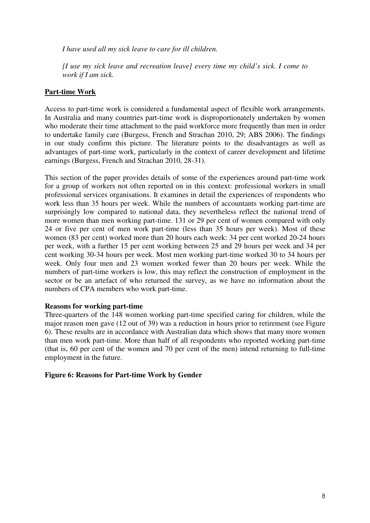*I have used all my sick leave to care for ill children.* 

*[I use my sick leave and recreation leave] every time my child's sick. I come to work if I am sick.* 

## **Part-time Work**

Access to part-time work is considered a fundamental aspect of flexible work arrangements. In Australia and many countries part-time work is disproportionately undertaken by women who moderate their time attachment to the paid workforce more frequently than men in order to undertake family care (Burgess, French and Strachan 2010, 29; ABS 2006). The findings in our study confirm this picture. The literature points to the disadvantages as well as advantages of part-time work, particularly in the context of career development and lifetime earnings (Burgess, French and Strachan 2010, 28-31).

This section of the paper provides details of some of the experiences around part-time work for a group of workers not often reported on in this context: professional workers in small professional services organisations. It examines in detail the experiences of respondents who work less than 35 hours per week. While the numbers of accountants working part-time are surprisingly low compared to national data, they nevertheless reflect the national trend of more women than men working part-time. 131 or 29 per cent of women compared with only 24 or five per cent of men work part-time (less than 35 hours per week). Most of these women (83 per cent) worked more than 20 hours each week: 34 per cent worked 20-24 hours per week, with a further 15 per cent working between 25 and 29 hours per week and 34 per cent working 30-34 hours per week. Most men working part-time worked 30 to 34 hours per week. Only four men and 23 women worked fewer than 20 hours per week. While the numbers of part-time workers is low, this may reflect the construction of employment in the sector or be an artefact of who returned the survey, as we have no information about the numbers of CPA members who work part-time.

## **Reasons for working part-time**

Three-quarters of the 148 women working part-time specified caring for children, while the major reason men gave (12 out of 39) was a reduction in hours prior to retirement (see Figure 6). These results are in accordance with Australian data which shows that many more women than men work part-time. More than half of all respondents who reported working part-time (that is, 60 per cent of the women and 70 per cent of the men) intend returning to full-time employment in the future.

## **Figure 6: Reasons for Part-time Work by Gender**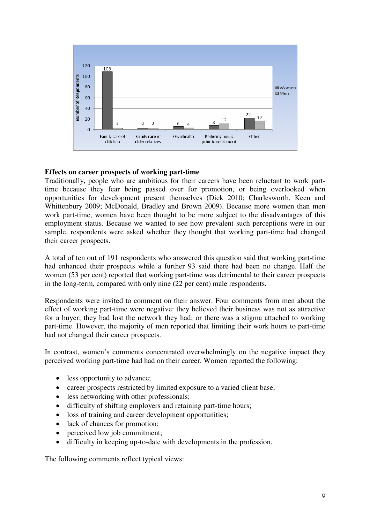

## **Effects on career prospects of working part-time**

Traditionally, people who are ambitious for their careers have been reluctant to work parttime because they fear being passed over for promotion, or being overlooked when opportunities for development present themselves (Dick 2010; Charlesworth, Keen and Whittenbury 2009; McDonald, Bradley and Brown 2009). Because more women than men work part-time, women have been thought to be more subject to the disadvantages of this employment status. Because we wanted to see how prevalent such perceptions were in our sample, respondents were asked whether they thought that working part-time had changed their career prospects.

A total of ten out of 191 respondents who answered this question said that working part-time had enhanced their prospects while a further 93 said there had been no change. Half the women (53 per cent) reported that working part-time was detrimental to their career prospects in the long-term, compared with only nine (22 per cent) male respondents.

Respondents were invited to comment on their answer. Four comments from men about the effect of working part-time were negative: they believed their business was not as attractive for a buyer; they had lost the network they had; or there was a stigma attached to working part-time. However, the majority of men reported that limiting their work hours to part-time had not changed their career prospects.

In contrast, women's comments concentrated overwhelmingly on the negative impact they perceived working part-time had had on their career. Women reported the following:

- less opportunity to advance;
- career prospects restricted by limited exposure to a varied client base;
- less networking with other professionals;
- difficulty of shifting employers and retaining part-time hours;
- loss of training and career development opportunities;
- lack of chances for promotion;
- perceived low job commitment;
- difficulty in keeping up-to-date with developments in the profession.

The following comments reflect typical views: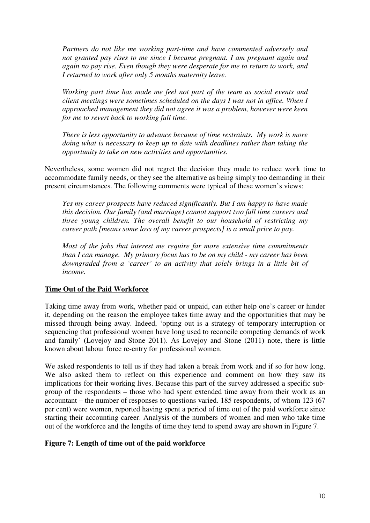*Partners do not like me working part-time and have commented adversely and not granted pay rises to me since I became pregnant. I am pregnant again and again no pay rise. Even though they were desperate for me to return to work, and I returned to work after only 5 months maternity leave.* 

*Working part time has made me feel not part of the team as social events and client meetings were sometimes scheduled on the days I was not in office. When I approached management they did not agree it was a problem, however were keen for me to revert back to working full time.* 

*There is less opportunity to advance because of time restraints. My work is more doing what is necessary to keep up to date with deadlines rather than taking the opportunity to take on new activities and opportunities.* 

Nevertheless, some women did not regret the decision they made to reduce work time to accommodate family needs, or they see the alternative as being simply too demanding in their present circumstances. The following comments were typical of these women's views:

*Yes my career prospects have reduced significantly. But I am happy to have made this decision. Our family (and marriage) cannot support two full time careers and three young children. The overall benefit to our household of restricting my career path [means some loss of my career prospects] is a small price to pay.* 

*Most of the jobs that interest me require far more extensive time commitments than I can manage. My primary focus has to be on my child - my career has been downgraded from a 'career' to an activity that solely brings in a little bit of income.* 

## **Time Out of the Paid Workforce**

Taking time away from work, whether paid or unpaid, can either help one's career or hinder it, depending on the reason the employee takes time away and the opportunities that may be missed through being away. Indeed, 'opting out is a strategy of temporary interruption or sequencing that professional women have long used to reconcile competing demands of work and family' (Lovejoy and Stone 2011). As Lovejoy and Stone (2011) note, there is little known about labour force re-entry for professional women.

We asked respondents to tell us if they had taken a break from work and if so for how long. We also asked them to reflect on this experience and comment on how they saw its implications for their working lives. Because this part of the survey addressed a specific subgroup of the respondents – those who had spent extended time away from their work as an accountant – the number of responses to questions varied. 185 respondents, of whom 123 (67 per cent) were women, reported having spent a period of time out of the paid workforce since starting their accounting career. Analysis of the numbers of women and men who take time out of the workforce and the lengths of time they tend to spend away are shown in Figure 7.

## **Figure 7: Length of time out of the paid workforce**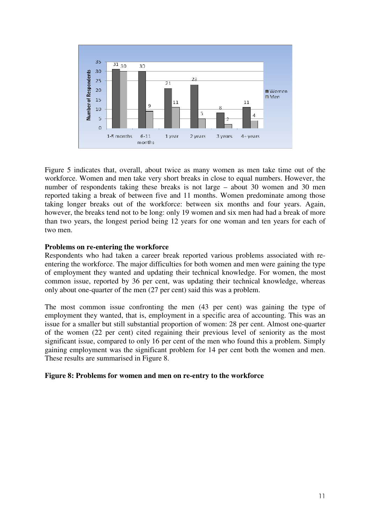

Figure 5 indicates that, overall, about twice as many women as men take time out of the workforce. Women and men take very short breaks in close to equal numbers. However, the number of respondents taking these breaks is not large – about 30 women and 30 men reported taking a break of between five and 11 months. Women predominate among those taking longer breaks out of the workforce: between six months and four years. Again, however, the breaks tend not to be long: only 19 women and six men had had a break of more than two years, the longest period being 12 years for one woman and ten years for each of two men.

## **Problems on re-entering the workforce**

Respondents who had taken a career break reported various problems associated with reentering the workforce. The major difficulties for both women and men were gaining the type of employment they wanted and updating their technical knowledge. For women, the most common issue, reported by 36 per cent, was updating their technical knowledge, whereas only about one-quarter of the men (27 per cent) said this was a problem.

The most common issue confronting the men (43 per cent) was gaining the type of employment they wanted, that is, employment in a specific area of accounting. This was an issue for a smaller but still substantial proportion of women: 28 per cent. Almost one-quarter of the women (22 per cent) cited regaining their previous level of seniority as the most significant issue, compared to only 16 per cent of the men who found this a problem. Simply gaining employment was the significant problem for 14 per cent both the women and men. These results are summarised in Figure 8.

## **Figure 8: Problems for women and men on re-entry to the workforce**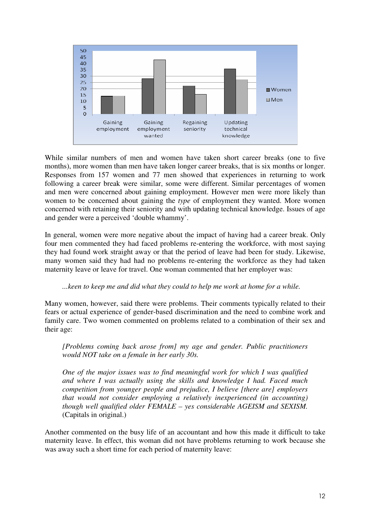

While similar numbers of men and women have taken short career breaks (one to five months), more women than men have taken longer career breaks, that is six months or longer. Responses from 157 women and 77 men showed that experiences in returning to work following a career break were similar, some were different. Similar percentages of women and men were concerned about gaining employment. However men were more likely than women to be concerned about gaining the *type* of employment they wanted. More women concerned with retaining their seniority and with updating technical knowledge. Issues of age and gender were a perceived 'double whammy'.

In general, women were more negative about the impact of having had a career break. Only four men commented they had faced problems re-entering the workforce, with most saying they had found work straight away or that the period of leave had been for study. Likewise, many women said they had had no problems re-entering the workforce as they had taken maternity leave or leave for travel. One woman commented that her employer was:

## *...keen to keep me and did what they could to help me work at home for a while.*

Many women, however, said there were problems. Their comments typically related to their fears or actual experience of gender-based discrimination and the need to combine work and family care. Two women commented on problems related to a combination of their sex and their age:

*[Problems coming back arose from] my age and gender. Public practitioners would NOT take on a female in her early 30s.* 

*One of the major issues was to find meaningful work for which I was qualified and where I was actually using the skills and knowledge I had. Faced much competition from younger people and prejudice, I believe [there are] employers that would not consider employing a relatively inexperienced (in accounting) though well qualified older FEMALE – yes considerable AGEISM and SEXISM.*  (Capitals in original.)

Another commented on the busy life of an accountant and how this made it difficult to take maternity leave. In effect, this woman did not have problems returning to work because she was away such a short time for each period of maternity leave: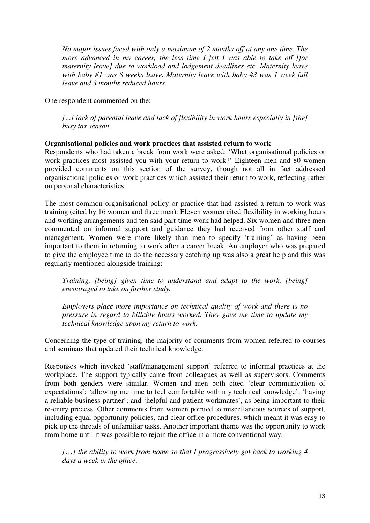*No major issues faced with only a maximum of 2 months off at any one time. The more advanced in my career, the less time I felt I was able to take off [for maternity leave] due to workload and lodgement deadlines etc. Maternity leave with baby #1 was 8 weeks leave. Maternity leave with baby #3 was 1 week full leave and 3 months reduced hours.* 

One respondent commented on the:

*[*...*] lack of parental leave and lack of flexibility in work hours especially in [the] busy tax season*.

## **Organisational policies and work practices that assisted return to work**

Respondents who had taken a break from work were asked: 'What organisational policies or work practices most assisted you with your return to work?' Eighteen men and 80 women provided comments on this section of the survey, though not all in fact addressed organisational policies or work practices which assisted their return to work, reflecting rather on personal characteristics.

The most common organisational policy or practice that had assisted a return to work was training (cited by 16 women and three men). Eleven women cited flexibility in working hours and working arrangements and ten said part-time work had helped. Six women and three men commented on informal support and guidance they had received from other staff and management. Women were more likely than men to specify 'training' as having been important to them in returning to work after a career break. An employer who was prepared to give the employee time to do the necessary catching up was also a great help and this was regularly mentioned alongside training:

*Training, [being] given time to understand and adapt to the work, [being] encouraged to take on further study.* 

*Employers place more importance on technical quality of work and there is no pressure in regard to billable hours worked. They gave me time to update my technical knowledge upon my return to work.* 

Concerning the type of training, the majority of comments from women referred to courses and seminars that updated their technical knowledge.

Responses which invoked 'staff/management support' referred to informal practices at the workplace. The support typically came from colleagues as well as supervisors. Comments from both genders were similar. Women and men both cited 'clear communication of expectations'; 'allowing me time to feel comfortable with my technical knowledge'; 'having a reliable business partner'; and 'helpful and patient workmates', as being important to their re-entry process. Other comments from women pointed to miscellaneous sources of support, including equal opportunity policies, and clear office procedures, which meant it was easy to pick up the threads of unfamiliar tasks. Another important theme was the opportunity to work from home until it was possible to rejoin the office in a more conventional way:

*[*…*] the ability to work from home so that I progressively got back to working 4 days a week in the office*.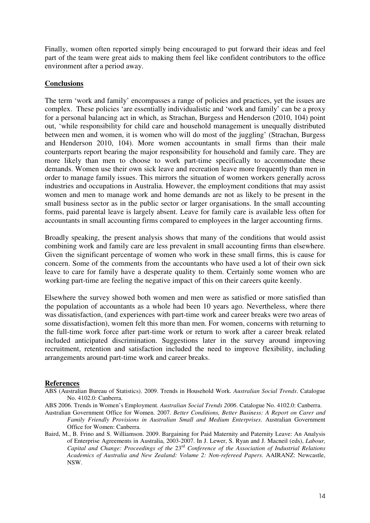Finally, women often reported simply being encouraged to put forward their ideas and feel part of the team were great aids to making them feel like confident contributors to the office environment after a period away.

## **Conclusions**

The term 'work and family' encompasses a range of policies and practices, yet the issues are complex. These policies 'are essentially individualistic and 'work and family' can be a proxy for a personal balancing act in which, as Strachan, Burgess and Henderson (2010, 104) point out, 'while responsibility for child care and household management is unequally distributed between men and women, it is women who will do most of the juggling' (Strachan, Burgess and Henderson 2010, 104). More women accountants in small firms than their male counterparts report bearing the major responsibility for household and family care. They are more likely than men to choose to work part-time specifically to accommodate these demands. Women use their own sick leave and recreation leave more frequently than men in order to manage family issues. This mirrors the situation of women workers generally across industries and occupations in Australia. However, the employment conditions that may assist women and men to manage work and home demands are not as likely to be present in the small business sector as in the public sector or larger organisations. In the small accounting forms, paid parental leave is largely absent. Leave for family care is available less often for accountants in small accounting firms compared to employees in the larger accounting firms.

Broadly speaking, the present analysis shows that many of the conditions that would assist combining work and family care are less prevalent in small accounting firms than elsewhere. Given the significant percentage of women who work in these small firms, this is cause for concern. Some of the comments from the accountants who have used a lot of their own sick leave to care for family have a desperate quality to them. Certainly some women who are working part-time are feeling the negative impact of this on their careers quite keenly.

Elsewhere the survey showed both women and men were as satisfied or more satisfied than the population of accountants as a whole had been 10 years ago. Nevertheless, where there was dissatisfaction, (and experiences with part-time work and career breaks were two areas of some dissatisfaction), women felt this more than men. For women, concerns with returning to the full-time work force after part-time work or return to work after a career break related included anticipated discrimination. Suggestions later in the survey around improving recruitment, retention and satisfaction included the need to improve flexibility, including arrangements around part-time work and career breaks.

## **References**

- ABS (Australian Bureau of Statistics). 2009. Trends in Household Work. *Australian Social Trends*. Catalogue No. 4102.0: Canberra.
- ABS 2006. Trends in Women's Employment. *Australian Social Trends 2006*. Catalogue No. 4102.0: Canberra.
- Australian Government Office for Women. 2007. *Better Conditions, Better Business: A Report on Carer and Family Friendly Provisions in Australian Small and Medium Enterprises*. Australian Government Office for Women: Canberra.
- Baird, M., B. Frino and S. Williamson. 2009. Bargaining for Paid Maternity and Paternity Leave: An Analysis of Enterprise Agreements in Australia, 2003-2007. In J. Lewer, S. Ryan and J. Macneil (eds), *Labour, Capital and Change: Proceedings of the* 23rd *Conference of the Association of Industrial Relations Academics of Australia and New Zealand: Volume 2: Non-refereed Papers*. AAIRANZ: Newcastle, NSW.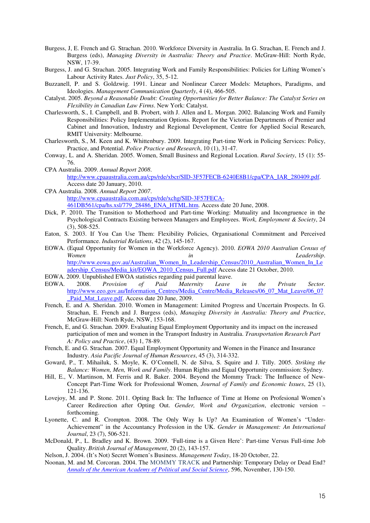- Burgess, J, E. French and G. Strachan. 2010. Workforce Diversity in Australia. In G. Strachan, E. French and J. Burgess (eds), *Managing Diversity in Australia: Theory and Practice*. McGraw-Hill: North Ryde, NSW, 17-39.
- Burgess, J. and G. Strachan. 2005. Integrating Work and Family Responsibilities: Policies for Lifting Women's Labour Activity Rates. *Just Policy*, 35, 5-12.
- Buzzanell, P. and S. Goldzwig. 1991. Linear and Nonlinear Career Models: Metaphors, Paradigms, and Ideologies. *Management Communication Quarterly*, 4 (4), 466-505.
- Catalyst. 2005. *Beyond a Reasonable Doubt: Creating Opportunities for Better Balance: The Catalyst Series on Flexibility in Canadian Law Firms*. New York: Catalyst.
- Charlesworth, S., I. Campbell, and B. Probert, with J. Allen and L. Morgan. 2002. Balancing Work and Family Responsibilities: Policy Implementation Options. Report for the Victorian Departments of Premier and Cabinet and Innovation, Industry and Regional Development, Centre for Applied Social Research, RMIT University: Melbourne.
- Charlesworth, S., M. Keen and K. Whittenbury. 2009. Integrating Part-time Work in Policing Services: Policy, Practice, and Potential. *Police Practice and Research*, 10 (1), 31-47.
- Conway, L. and A. Sheridan. 2005. Women, Small Business and Regional Location. *Rural Society*, 15 (1): 55- 76.
- CPA Australia. 2009. *Annual Report 2008*. http://www.cpaaustralia.com.au/cps/rde/xbcr/SID-3F57FECB-6240E8B1/cpa/CPA\_IAR\_280409.pdf. Access date 20 January, 2010.
- CPA Australia. 2008. *Annual Report 2007*. http://www.cpaaustralia.com.au/cps/rde/xchg/SID-3F57FECA-461DB561/cpa/hs.xsl/779\_28486\_ENA\_HTML.htm. Access date 20 June, 2008.
- Dick, P. 2010. The Transition to Motherhood and Part-time Working: Mutuality and Incongruence in the Psychological Contracts Existing between Managers and Employees. *Work, Employment & Society*, 24 (3), 508-525.
- Eaton, S. 2003. If You Can Use Them: Flexibility Policies, Organisational Commitment and Perceived Performance. *Industrial Relations*, 42 (2), 145-167.
- EOWA. (Equal Opportunity for Women in the Workforce Agency). 2010. *EOWA 2010 Australian Census of Women in Leadership*. http://www.eowa.gov.au/Australian\_Women\_In\_Leadership\_Census/2010\_Australian\_Women\_In\_Le adership\_Census/Media\_kit/EOWA\_2010\_Census\_Full.pdf Access date 21 October, 2010.
- EOWA. 2009. Unpublished EWOA statistics regarding paid parental leave.<br>EOWA. 2008. Provision of Paid Maternity Leave
- EOWA. 2008. *Provision of Paid Maternity Leave in the Private Sector.*  http://www.eeo.gov.au/Information\_Centres/Media\_Centre/Media\_Releases/06\_07\_Mat\_Leave/06\_07 Paid Mat Leave.pdf. Access date 20 June, 2009.
- French, E. and A. Sheridan. 2010. Women in Management: Limited Progress and Uncertain Prospects. In G. Strachan, E. French and J. Burgess (eds), *Managing Diversity in Australia: Theory and Practice*, McGraw-Hill: North Ryde, NSW, 153-168.
- French, E, and G. Strachan. 2009. Evaluating Equal Employment Opportunity and its impact on the increased participation of men and women in the Transport Industry in Australia. *Transportation Research Part A: Policy and Practice*, (43) 1, 78-89.
- French, E. and G. Strachan. 2007. Equal Employment Opportunity and Women in the Finance and Insurance Industry. *Asia Pacific Journal of Human Resources*, 45 (3), 314-332.
- Goward, P., T. Mihailuk, S. Moyle, K. O'Connell, N. de Silva, S. Squire and J. Tilly. 2005. *Striking the Balance: Women, Men, Work and Family*. Human Rights and Equal Opportunity commission: Sydney.
- Hill, E., V. Martinson, M. Ferris and R. Baker. 2004. Beyond the Mommy Track: The Influence of New-Concept Part-Time Work for Professional Women, *Journal of Family and Economic Issues*, 25 (1),  $121 - 136.$
- Lovejoy, M. and P. Stone. 2011. Opting Back In: The Influence of Time at Home on Profesional Women's Career Redirection after Opting Out. *Gender, Work and Organization*, electronic version – forthcoming.
- Lyonette, C. and R. Crompton. 2008. The Only Way Is Up? An Examination of Women's "Under-Achievement" in the Accountancy Profession in the UK. *Gender in Management: An International Journal*, 23 (7), 506-521.
- McDonald, P., L. Bradley and K. Brown. 2009. 'Full-time is a Given Here': Part-time Versus Full-time Job Quality. *British Journal of Management*, 20 (2), 143-157.
- Nelson, J. 2004. (It's Not) Secret Women's Business. *Management Today*, 18-20 October, 22.
- Noonan, M. and M. Corcoran. 2004. The MOMMY TRACK and Partnership: Temporary Delay or Dead End? *Annals of the American Academy of Political and Social Science*, 596, November, 130-150.